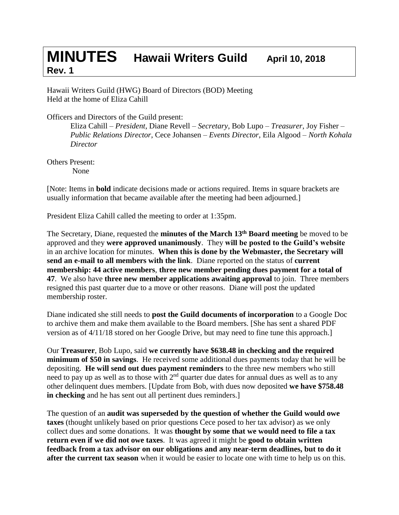## **MINUTES Hawaii Writers Guild April 10, <sup>2018</sup> Rev. 1**

Hawaii Writers Guild (HWG) Board of Directors (BOD) Meeting Held at the home of Eliza Cahill

Officers and Directors of the Guild present:

Eliza Cahill – *President*, Diane Revell – *Secretary*, Bob Lupo – *Treasurer*, Joy Fisher – *Public Relations Director*, Cece Johansen – *Events Director,* Eila Algood – *North Kohala Director*

Others Present: None

[Note: Items in **bold** indicate decisions made or actions required. Items in square brackets are usually information that became available after the meeting had been adjourned.]

President Eliza Cahill called the meeting to order at 1:35pm.

The Secretary, Diane, requested the **minutes of the March 13th Board meeting** be moved to be approved and they **were approved unanimously**. They **will be posted to the Guild's website** in an archive location for minutes. **When this is done by the Webmaster, the Secretary will send an e-mail to all members with the link**. Diane reported on the status of **current membership: 44 active members**, **three new member pending dues payment for a total of 47**. We also have **three new member applications awaiting approval** to join. Three members resigned this past quarter due to a move or other reasons. Diane will post the updated membership roster.

Diane indicated she still needs to **post the Guild documents of incorporation** to a Google Doc to archive them and make them available to the Board members. [She has sent a shared PDF version as of 4/11/18 stored on her Google Drive, but may need to fine tune this approach.]

Our **Treasurer**, Bob Lupo, said **we currently have \$638.48 in checking and the required minimum of \$50 in savings**. He received some additional dues payments today that he will be depositing. **He will send out dues payment reminders** to the three new members who still need to pay up as well as to those with  $2<sup>nd</sup>$  quarter due dates for annual dues as well as to any other delinquent dues members. [Update from Bob, with dues now deposited **we have \$758.48 in checking** and he has sent out all pertinent dues reminders.]

The question of an **audit was superseded by the question of whether the Guild would owe taxes** (thought unlikely based on prior questions Cece posed to her tax advisor) as we only collect dues and some donations. It was **thought by some that we would need to file a tax return even if we did not owe taxes**. It was agreed it might be **good to obtain written feedback from a tax advisor on our obligations and any near-term deadlines, but to do it after the current tax season** when it would be easier to locate one with time to help us on this.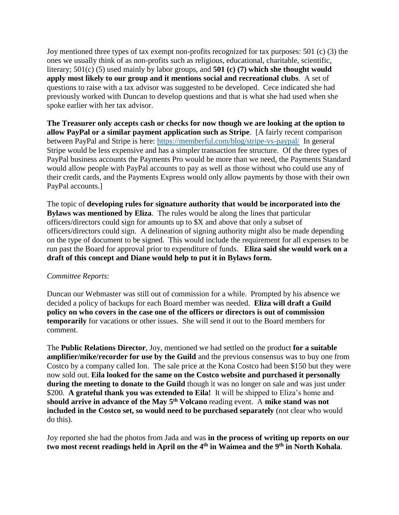Joy mentioned three types of tax exempt non-profits recognized for tax purposes: 501 (c) (3) the ones we usually think of as non-profits such as religious, educational, charitable, scientific, literary; 501(c) (5) used mainly by labor groups, and **501 (c) (7) which she thought would apply most likely to our group and it mentions social and recreational clubs**. A set of questions to raise with a tax advisor was suggested to be developed. Cece indicated she had previously worked with Duncan to develop questions and that is what she had used when she spoke earlier with her tax advisor.

**The Treasurer only accepts cash or checks for now though we are looking at the option to allow PayPal or a similar payment application such as Stripe**. [A fairly recent comparison between PayPal and Stripe is here:<https://memberful.com/blog/stripe-vs-paypal/>In general Stripe would be less expensive and has a simpler transaction fee structure. Of the three types of PayPal business accounts the Payments Pro would be more than we need, the Payments Standard would allow people with PayPal accounts to pay as well as those without who could use any of their credit cards, and the Payments Express would only allow payments by those with their own PayPal accounts.]

The topic of **developing rules for signature authority that would be incorporated into the Bylaws was mentioned by Eliza**. The rules would be along the lines that particular officers/directors could sign for amounts up to \$X and above that only a subset of officers/directors could sign. A delineation of signing authority might also be made depending on the type of document to be signed. This would include the requirement for all expenses to be run past the Board for approval prior to expenditure of funds. **Eliza said she would work on a draft of this concept and Diane would help to put it in Bylaws form.**

## *Committee Reports*:

Duncan our Webmaster was still out of commission for a while. Prompted by his absence we decided a policy of backups for each Board member was needed. **Eliza will draft a Guild policy on who covers in the case one of the officers or directors is out of commission temporarily** for vacations or other issues. She will send it out to the Board members for comment.

The **Public Relations Director**, Joy, mentioned we had settled on the product **for a suitable amplifier/mike/recorder for use by the Guild** and the previous consensus was to buy one from Costco by a company called Ion. The sale price at the Kona Costco had been \$150 but they were now sold out. **Eila looked for the same on the Costco website and purchased it personally during the meeting to donate to the Guild** though it was no longer on sale and was just under \$200. A grateful thank you was extended to Eila! It will be shipped to Eliza's home and **should arrive in advance of the May 5th Volcano** reading event. A **mike stand was not included in the Costco set, so would need to be purchased separately** (not clear who would do this).

Joy reported she had the photos from Jada and was **in the process of writing up reports on our two most recent readings held in April on the 4th in Waimea and the 9th in North Kohala**.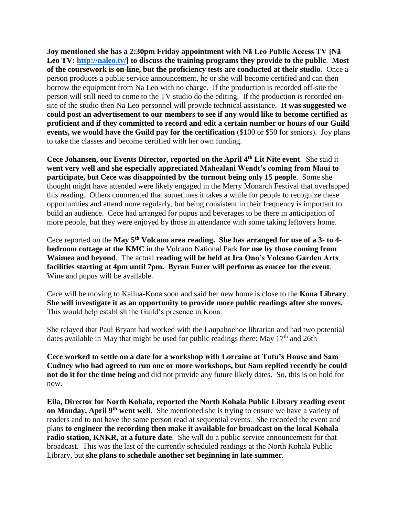**Joy mentioned she has a 2:30pm Friday appointment with Nā Leo Public Access TV [Nā Leo TV: [http://naleo.tv/\]](http://naleo.tv/) to discuss the training programs they provide to the public**. **Most of the coursework is on-line, but the proficiency tests are conducted at their studio**. Once a person produces a public service announcement, he or she will become certified and can then borrow the equipment from Na Leo with no charge. If the production is recorded off-site the person will still need to come to the TV studio do the editing. If the production is recorded onsite of the studio then Na Leo personnel will provide technical assistance. **It was suggested we could post an advertisement to our members to see if any would like to become certified as proficient and if they committed to record and edit a certain number or hours of our Guild events, we would have the Guild pay for the certification** (\$100 or \$50 for seniors). Joy plans to take the classes and become certified with her own funding.

**Cece Johansen, our Events Director, reported on the April 4th Lit Nite event**. She said it **went very well and she especially appreciated Mahealani Wendt's coming from Maui to participate, but Cece was disappointed by the turnout being only 15 people**. Some she thought might have attended were likely engaged in the Merry Monarch Festival that overlapped this reading. Others commented that sometimes it takes a while for people to recognize these opportunities and attend more regularly, but being consistent in their frequency is important to build an audience. Cece had arranged for pupus and beverages to be there in anticipation of more people, but they were enjoyed by those in attendance with some taking leftovers home.

Cece reported on the **May 5th Volcano area reading. She has arranged for use of a 3- to 4 bedroom cottage at the KMC** in the Volcano National Park **for use by those coming from Waimea and beyond**. The actual **reading will be held at Ira Ono's Volcano Garden Arts facilities starting at 4pm until 7pm. Byran Furer will perform as emcee for the event**. Wine and pupus will be available.

Cece will be moving to Kailua-Kona soon and said her new home is close to the **Kona Library**. **She will investigate it as an opportunity to provide more public readings after she moves.** This would help establish the Guild's presence in Kona.

She relayed that Paul Bryant had worked with the Laupahoehoe librarian and had two potential dates available in May that might be used for public readings there: May  $17<sup>th</sup>$  and 26th

**Cece worked to settle on a date for a workshop with Lorraine at Tutu's House and Sam Cudney who had agreed to run one or more workshops, but Sam replied recently he could not do it for the time being** and did not provide any future likely dates. So, this is on hold for now.

**Eila, Director for North Kohala, reported the North Kohala Public Library reading event on Monday, April 9<sup>th</sup> went well**. She mentioned she is trying to ensure we have a variety of readers and to not have the same person read at sequential events. She recorded the event and plans **to engineer the recording then make it available for broadcast on the local Kohala radio station, KNKR, at a future date**. She will do a public service announcement for that broadcast. This was the last of the currently scheduled readings at the North Kohala Public Library, but **she plans to schedule another set beginning in late summer**.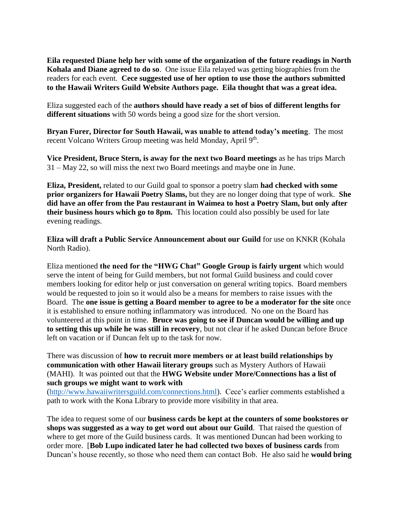**Eila requested Diane help her with some of the organization of the future readings in North Kohala and Diane agreed to do so**. One issue Eila relayed was getting biographies from the readers for each event. **Cece suggested use of her option to use those the authors submitted to the Hawaii Writers Guild Website Authors page. Eila thought that was a great idea.**

Eliza suggested each of the **authors should have ready a set of bios of different lengths for different situations** with 50 words being a good size for the short version.

**Bryan Furer, Director for South Hawaii, was unable to attend today's meeting**. The most recent Volcano Writers Group meeting was held Monday, April 9<sup>th</sup>.

**Vice President, Bruce Stern, is away for the next two Board meetings** as he has trips March 31 – May 22, so will miss the next two Board meetings and maybe one in June.

**Eliza, President,** related to our Guild goal to sponsor a poetry slam **had checked with some prior organizers for Hawaii Poetry Slams,** but they are no longer doing that type of work. **She did have an offer from the Pau restaurant in Waimea to host a Poetry Slam, but only after their business hours which go to 8pm.** This location could also possibly be used for late evening readings.

**Eliza will draft a Public Service Announcement about our Guild** for use on KNKR (Kohala North Radio).

Eliza mentioned **the need for the "HWG Chat" Google Group is fairly urgent** which would serve the intent of being for Guild members, but not formal Guild business and could cover members looking for editor help or just conversation on general writing topics. Board members would be requested to join so it would also be a means for members to raise issues with the Board. The **one issue is getting a Board member to agree to be a moderator for the site** once it is established to ensure nothing inflammatory was introduced. No one on the Board has volunteered at this point in time. **Bruce was going to see if Duncan would be willing and up to setting this up while he was still in recovery**, but not clear if he asked Duncan before Bruce left on vacation or if Duncan felt up to the task for now.

There was discussion of **how to recruit more members or at least build relationships by communication with other Hawaii literary groups** such as Mystery Authors of Hawaii (MAHI). It was pointed out that the **HWG Website under More/Connections has a list of such groups we might want to work with**

[\(http://www.hawaiiwritersguild.com/connections.html\)](http://www.hawaiiwritersguild.com/connections.html). Cece's earlier comments established a path to work with the Kona Library to provide more visibility in that area.

The idea to request some of our **business cards be kept at the counters of some bookstores or shops was suggested as a way to get word out about our Guild**. That raised the question of where to get more of the Guild business cards. It was mentioned Duncan had been working to order more. [**Bob Lupo indicated later he had collected two boxes of business cards** from Duncan's house recently, so those who need them can contact Bob. He also said he **would bring**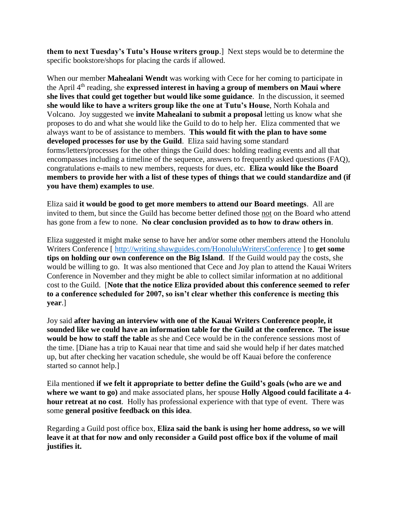**them to next Tuesday's Tutu's House writers group**.] Next steps would be to determine the specific bookstore/shops for placing the cards if allowed.

When our member **Mahealani Wendt** was working with Cece for her coming to participate in the April 4th reading, she **expressed interest in having a group of members on Maui where she lives that could get together but would like some guidance**. In the discussion, it seemed **she would like to have a writers group like the one at Tutu's House**, North Kohala and Volcano. Joy suggested we **invite Mahealani to submit a proposal** letting us know what she proposes to do and what she would like the Guild to do to help her. Eliza commented that we always want to be of assistance to members. **This would fit with the plan to have some developed processes for use by the Guild**. Eliza said having some standard forms/letters/processes for the other things the Guild does: holding reading events and all that encompasses including a timeline of the sequence, answers to frequently asked questions (FAQ), congratulations e-mails to new members, requests for dues, etc. **Eliza would like the Board members to provide her with a list of these types of things that we could standardize and (if you have them) examples to use**.

Eliza said **it would be good to get more members to attend our Board meetings**. All are invited to them, but since the Guild has become better defined those not on the Board who attend has gone from a few to none. **No clear conclusion provided as to how to draw others in**.

Eliza suggested it might make sense to have her and/or some other members attend the Honolulu Writers Conference [ <http://writing.shawguides.com/HonoluluWritersConference> ] to **get some tips on holding our own conference on the Big Island**. If the Guild would pay the costs, she would be willing to go. It was also mentioned that Cece and Joy plan to attend the Kauai Writers Conference in November and they might be able to collect similar information at no additional cost to the Guild. [**Note that the notice Eliza provided about this conference seemed to refer to a conference scheduled for 2007, so isn't clear whether this conference is meeting this year**.]

Joy said **after having an interview with one of the Kauai Writers Conference people, it sounded like we could have an information table for the Guild at the conference. The issue would be how to staff the table** as she and Cece would be in the conference sessions most of the time. [Diane has a trip to Kauai near that time and said she would help if her dates matched up, but after checking her vacation schedule, she would be off Kauai before the conference started so cannot help.]

Eila mentioned **if we felt it appropriate to better define the Guild's goals (who are we and where we want to go)** and make associated plans, her spouse **Holly Algood could facilitate a 4 hour retreat at no cost**. Holly has professional experience with that type of event. There was some **general positive feedback on this idea**.

Regarding a Guild post office box, **Eliza said the bank is using her home address, so we will leave it at that for now and only reconsider a Guild post office box if the volume of mail justifies it.**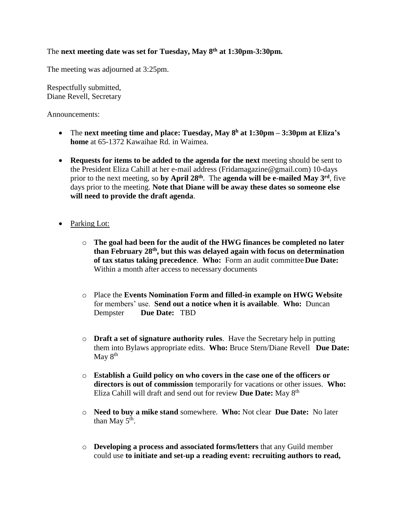## The **next meeting date was set for Tuesday, May 8th at 1:30pm-3:30pm.**

The meeting was adjourned at 3:25pm.

Respectfully submitted, Diane Revell, Secretary

Announcements:

- The **next meeting time and place: Tuesday, May 8 <sup>h</sup> at 1:30pm – 3:30pm at Eliza's home** at 65-1372 Kawaihae Rd. in Waimea.
- **Requests for items to be added to the agenda for the next** meeting should be sent to the President Eliza Cahill at her e-mail address [\(Fridamagazine@gmail.com\)](mailto:Fridamagazine@gmail.com) 10-days prior to the next meeting, so **by April 28th** . The **agenda will be e-mailed May 3 rd**, five days prior to the meeting. **Note that Diane will be away these dates so someone else will need to provide the draft agenda**.
- Parking Lot:
	- o **The goal had been for the audit of the HWG finances be completed no later than February 28th, but this was delayed again with focus on determination of tax status taking precedence**. **Who:** Form an audit committee**Due Date:** Within a month after access to necessary documents
	- o Place the **Events Nomination Form and filled-in example on HWG Website** for members' use. **Send out a notice when it is available**. **Who:** Duncan Dempster **Due Date:** TBD
	- o **Draft a set of signature authority rules**. Have the Secretary help in putting them into Bylaws appropriate edits. **Who:** Bruce Stern/Diane Revell **Due Date:** May  $8^{\text{th}}$
	- o **Establish a Guild policy on who covers in the case one of the officers or directors is out of commission** temporarily for vacations or other issues. **Who:** Eliza Cahill will draft and send out for review **Due Date:** May 8 th
	- o **Need to buy a mike stand** somewhere. **Who:** Not clear **Due Date:** No later than May  $5^{\text{th}}$ .
	- o **Developing a process and associated forms/letters** that any Guild member could use **to initiate and set-up a reading event: recruiting authors to read,**